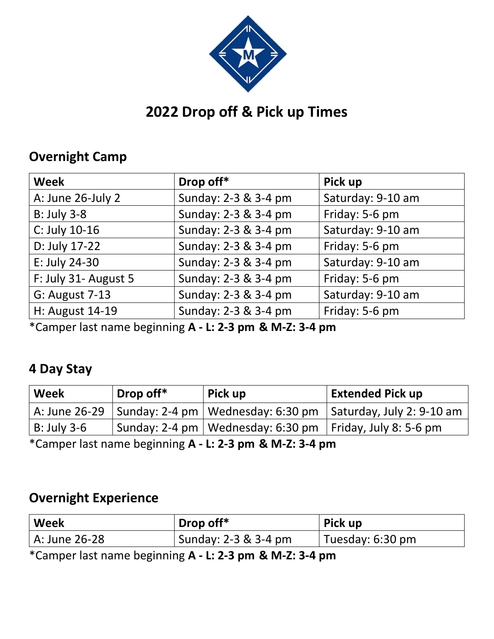

# **2022 Drop off & Pick up Times**

#### **Overnight Camp**

| <b>Week</b>           | Drop off*            | Pick up           |
|-----------------------|----------------------|-------------------|
| A: June 26-July 2     | Sunday: 2-3 & 3-4 pm | Saturday: 9-10 am |
| <b>B: July 3-8</b>    | Sunday: 2-3 & 3-4 pm | Friday: 5-6 pm    |
| C: July 10-16         | Sunday: 2-3 & 3-4 pm | Saturday: 9-10 am |
| D: July 17-22         | Sunday: 2-3 & 3-4 pm | Friday: 5-6 pm    |
| E: July 24-30         | Sunday: 2-3 & 3-4 pm | Saturday: 9-10 am |
| F: July 31- August 5  | Sunday: 2-3 & 3-4 pm | Friday: 5-6 pm    |
| <b>G: August 7-13</b> | Sunday: 2-3 & 3-4 pm | Saturday: 9-10 am |
| H: August 14-19       | Sunday: 2-3 & 3-4 pm | Friday: 5-6 pm    |

\*Camper last name beginning **A - L: 2-3 pm & M-Z: 3-4 pm**

### **4 Day Stay**

| Week        | Drop off* | Pick up                                                      | <b>Extended Pick up</b>                                                         |
|-------------|-----------|--------------------------------------------------------------|---------------------------------------------------------------------------------|
|             |           |                                                              | A: June 26-29   Sunday: 2-4 pm   Wednesday: 6:30 pm   Saturday, July 2: 9-10 am |
| B: July 3-6 |           | Sunday: 2-4 pm   Wednesday: 6:30 pm   Friday, July 8: 5-6 pm |                                                                                 |

\*Camper last name beginning **A - L: 2-3 pm & M-Z: 3-4 pm**

#### **Overnight Experience**

| Week          | Drop off*            | Pick up          |
|---------------|----------------------|------------------|
| A: June 26-28 | Sunday: 2-3 & 3-4 pm | Tuesday: 6:30 pm |

\*Camper last name beginning **A - L: 2-3 pm & M-Z: 3-4 pm**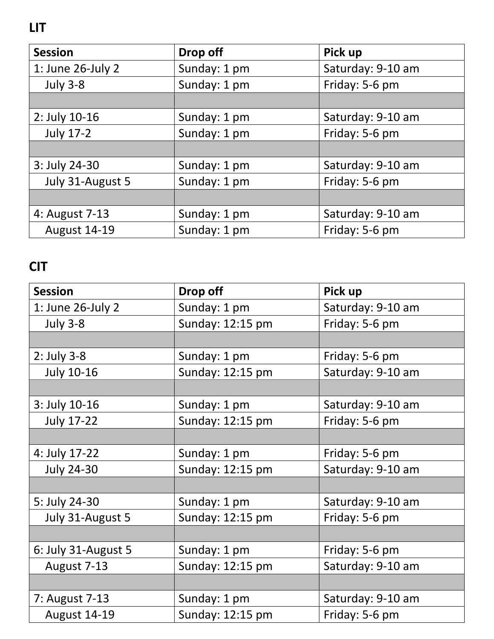**LIT**

| <b>Session</b>      | Drop off     | Pick up           |
|---------------------|--------------|-------------------|
| 1: June 26-July 2   | Sunday: 1 pm | Saturday: 9-10 am |
| <b>July 3-8</b>     | Sunday: 1 pm | Friday: 5-6 pm    |
|                     |              |                   |
| 2: July 10-16       | Sunday: 1 pm | Saturday: 9-10 am |
| <b>July 17-2</b>    | Sunday: 1 pm | Friday: 5-6 pm    |
|                     |              |                   |
| 3: July 24-30       | Sunday: 1 pm | Saturday: 9-10 am |
| July 31-August 5    | Sunday: 1 pm | Friday: 5-6 pm    |
|                     |              |                   |
| 4: August 7-13      | Sunday: 1 pm | Saturday: 9-10 am |
| <b>August 14-19</b> | Sunday: 1 pm | Friday: 5-6 pm    |

# **CIT**

| <b>Session</b>      | Drop off         | Pick up           |
|---------------------|------------------|-------------------|
| 1: June 26-July 2   | Sunday: 1 pm     | Saturday: 9-10 am |
| <b>July 3-8</b>     | Sunday: 12:15 pm | Friday: 5-6 pm    |
|                     |                  |                   |
| $2:$ July 3-8       | Sunday: 1 pm     | Friday: 5-6 pm    |
| <b>July 10-16</b>   | Sunday: 12:15 pm | Saturday: 9-10 am |
|                     |                  |                   |
| 3: July 10-16       | Sunday: 1 pm     | Saturday: 9-10 am |
| <b>July 17-22</b>   | Sunday: 12:15 pm | Friday: 5-6 pm    |
|                     |                  |                   |
| 4: July 17-22       | Sunday: 1 pm     | Friday: 5-6 pm    |
| <b>July 24-30</b>   | Sunday: 12:15 pm | Saturday: 9-10 am |
|                     |                  |                   |
| 5: July 24-30       | Sunday: 1 pm     | Saturday: 9-10 am |
| July 31-August 5    | Sunday: 12:15 pm | Friday: 5-6 pm    |
|                     |                  |                   |
| 6: July 31-August 5 | Sunday: 1 pm     | Friday: 5-6 pm    |
| August 7-13         | Sunday: 12:15 pm | Saturday: 9-10 am |
|                     |                  |                   |
| 7: August 7-13      | Sunday: 1 pm     | Saturday: 9-10 am |
| <b>August 14-19</b> | Sunday: 12:15 pm | Friday: 5-6 pm    |